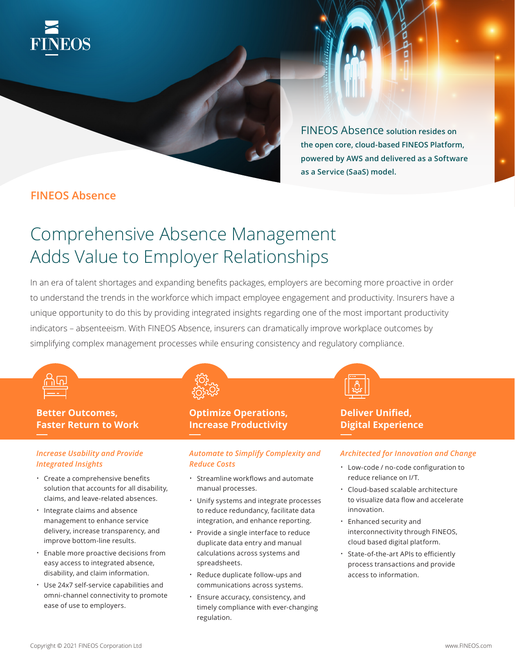

FINEOS Absence **solution resides on the open core, cloud-based FINEOS Platform, powered by AWS and delivered as a Software as a Service (SaaS) model.** 

# **FINEOS Absence**

# Comprehensive Absence Management Adds Value to Employer Relationships

In an era of talent shortages and expanding benefits packages, employers are becoming more proactive in order to understand the trends in the workforce which impact employee engagement and productivity. Insurers have a unique opportunity to do this by providing integrated insights regarding one of the most important productivity indicators – absenteeism. With FINEOS Absence, insurers can dramatically improve workplace outcomes by simplifying complex management processes while ensuring consistency and regulatory compliance.



# **Better Outcomes, Faster Return to Work**

### *Increase Usability and Provide Integrated Insights*

- Create a comprehensive benefits solution that accounts for all disability, claims, and leave-related absences.
- Integrate claims and absence management to enhance service delivery, increase transparency, and improve bottom-line results.
- Enable more proactive decisions from easy access to integrated absence, disability, and claim information.
- Use 24x7 self-service capabilities and omni-channel connectivity to promote ease of use to employers.



# **Optimize Operations, Increase Productivity**

## *Automate to Simplify Complexity and Reduce Costs*

- Streamline workflows and automate manual processes.
- Unify systems and integrate processes to reduce redundancy, facilitate data integration, and enhance reporting.
- Provide a single interface to reduce duplicate data entry and manual calculations across systems and spreadsheets.
- Reduce duplicate follow-ups and communications across systems.
- Ensure accuracy, consistency, and timely compliance with ever-changing regulation.



# **Deliver Unified, Digital Experience**

### *Architected for Innovation and Change*

- Low-code / no-code configuration to reduce reliance on I/T.
- Cloud-based scalable architecture to visualize data flow and accelerate innovation.
- Enhanced security and interconnectivity through FINEOS, cloud based digital platform.
- State-of-the-art APIs to efficiently process transactions and provide access to information.